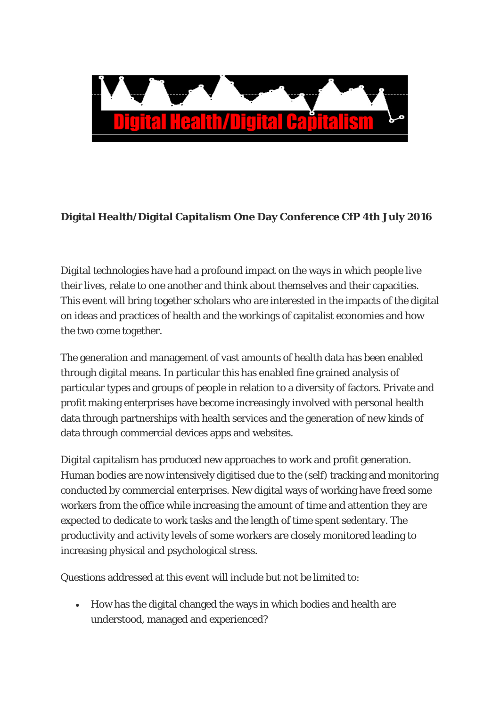

## **Digital Health/Digital Capitalism One Day Conference CfP 4th July 2016**

Digital technologies have had a profound impact on the ways in which people live their lives, relate to one another and think about themselves and their capacities. This event will bring together scholars who are interested in the impacts of the digital on ideas and practices of health and the workings of capitalist economies and how the two come together.

The generation and management of vast amounts of health data has been enabled through digital means. In particular this has enabled fine grained analysis of particular types and groups of people in relation to a diversity of factors. Private and profit making enterprises have become increasingly involved with personal health data through partnerships with health services and the generation of new kinds of data through commercial devices apps and websites.

Digital capitalism has produced new approaches to work and profit generation. Human bodies are now intensively digitised due to the (self) tracking and monitoring conducted by commercial enterprises. New digital ways of working have freed some workers from the office while increasing the amount of time and attention they are expected to dedicate to work tasks and the length of time spent sedentary. The productivity and activity levels of some workers are closely monitored leading to increasing physical and psychological stress.

Questions addressed at this event will include but not be limited to:

• How has the digital changed the ways in which bodies and health are understood, managed and experienced?